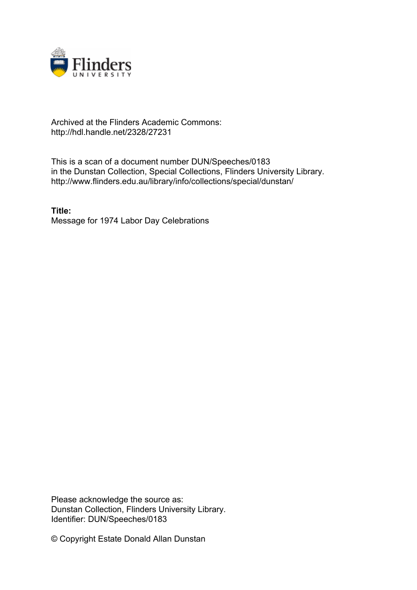

## Archived at the Flinders Academic Commons: http://hdl.handle.net/2328/27231

This is a scan of a document number DUN/Speeches/0183 in the Dunstan Collection, Special Collections, Flinders University Library. http://www.flinders.edu.au/library/info/collections/special/dunstan/

**Title:** Message for 1974 Labor Day Celebrations

Please acknowledge the source as: Dunstan Collection, Flinders University Library. Identifier: DUN/Speeches/0183

© Copyright Estate Donald Allan Dunstan